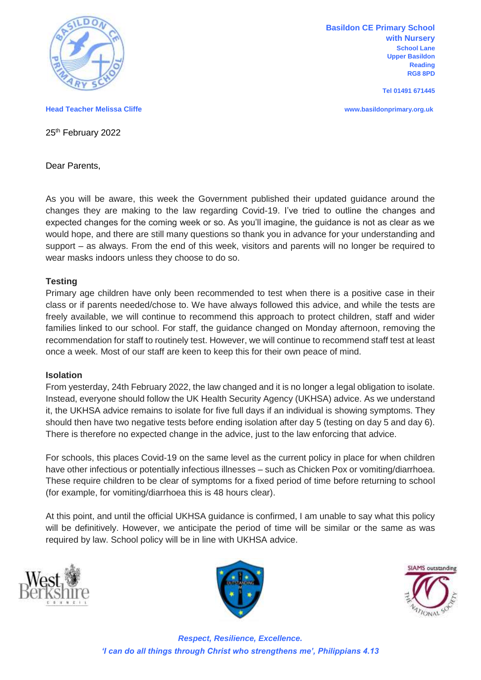

**Basildon CE Primary School with Nursery School Lane Upper Basildon Reading RG8 8PD**

**Tel 01491 671445**

**Head Teacher Melissa Cliffe www.basildonprimary.org.uk**

25<sup>th</sup> February 2022

Dear Parents,

As you will be aware, this week the Government published their updated guidance around the changes they are making to the law regarding Covid-19. I've tried to outline the changes and expected changes for the coming week or so. As you'll imagine, the guidance is not as clear as we would hope, and there are still many questions so thank you in advance for your understanding and support – as always. From the end of this week, visitors and parents will no longer be required to wear masks indoors unless they choose to do so.

## **Testing**

Primary age children have only been recommended to test when there is a positive case in their class or if parents needed/chose to. We have always followed this advice, and while the tests are freely available, we will continue to recommend this approach to protect children, staff and wider families linked to our school. For staff, the guidance changed on Monday afternoon, removing the recommendation for staff to routinely test. However, we will continue to recommend staff test at least once a week. Most of our staff are keen to keep this for their own peace of mind.

## **Isolation**

From yesterday, 24th February 2022, the law changed and it is no longer a legal obligation to isolate. Instead, everyone should follow the UK Health Security Agency (UKHSA) advice. As we understand it, the UKHSA advice remains to isolate for five full days if an individual is showing symptoms. They should then have two negative tests before ending isolation after day 5 (testing on day 5 and day 6). There is therefore no expected change in the advice, just to the law enforcing that advice.

For schools, this places Covid-19 on the same level as the current policy in place for when children have other infectious or potentially infectious illnesses – such as Chicken Pox or vomiting/diarrhoea. These require children to be clear of symptoms for a fixed period of time before returning to school (for example, for vomiting/diarrhoea this is 48 hours clear).

At this point, and until the official UKHSA guidance is confirmed, I am unable to say what this policy will be definitively. However, we anticipate the period of time will be similar or the same as was required by law. School policy will be in line with UKHSA advice.







*Respect, Resilience, Excellence. 'I can do all things through Christ who strengthens me', Philippians 4.13*